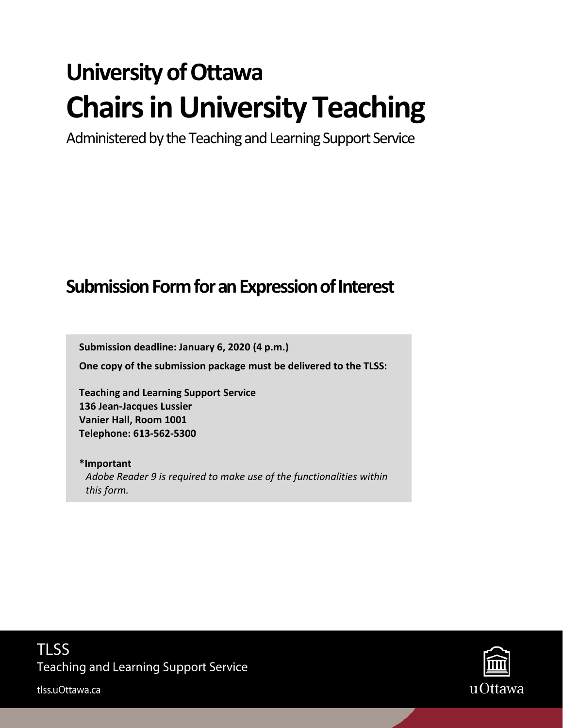# **University of Ottawa Chairs in University Teaching**

Administered by the Teaching and Learning Support Service

# **Submission Formfor an Expression of Interest**

**Submission deadline: January 6, 2020 (4 p.m.)** 

**One copy of the submission package must be delivered to the TLSS:** 

**Teaching and Learning Support Service 136 Jean-Jacques Lussier Vanier Hall, Room 1001 Telephone: 613-562-5300**

**\*Important** *Adobe Reader 9 is required to make use of the functionalities within this form.*



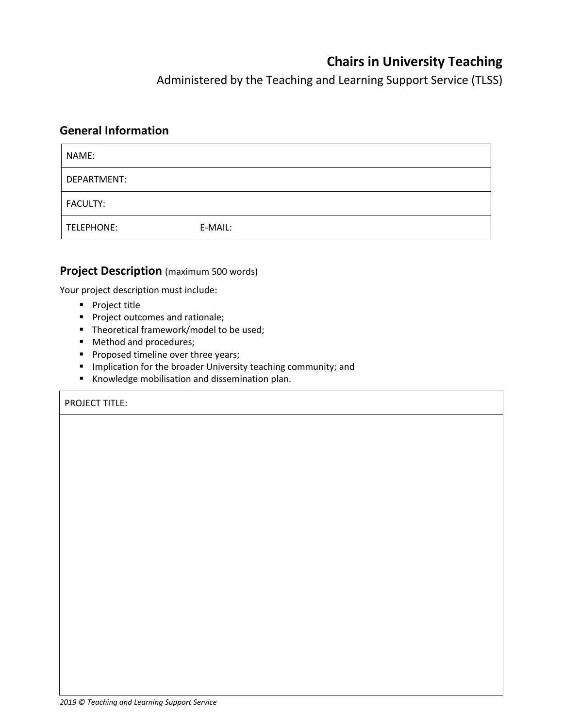# **Chairs in University Teaching**

Administered by the Teaching and Learning Support Service (TLSS)

#### **General Information**

| NAME:             |         |
|-------------------|---------|
| DEPARTMENT:       |         |
| <b>FACULTY:</b>   |         |
| <b>TELEPHONE:</b> | E-MAIL: |

#### **Project Description** (maximum 500 words)

Your project description must include:

- **Project title**
- **Project outcomes and rationale;**
- **Theoretical framework/model to be used;**
- **Method and procedures;**
- **Proposed timeline over three years;**
- **Implication for the broader University teaching community; and**
- Knowledge mobilisation and dissemination plan.

#### PROJECT TITLE: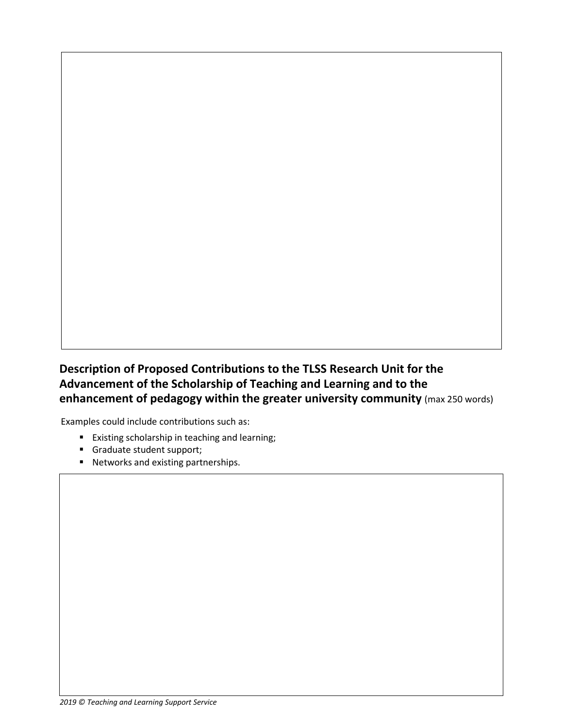## **Description of Proposed Contributions to the TLSS Research Unit for the Advancement of the Scholarship of Teaching and Learning and to the enhancement of pedagogy within the greater university community** (max 250 words)

Examples could include contributions such as:

- **Existing scholarship in teaching and learning;**
- Graduate student support;
- Networks and existing partnerships.